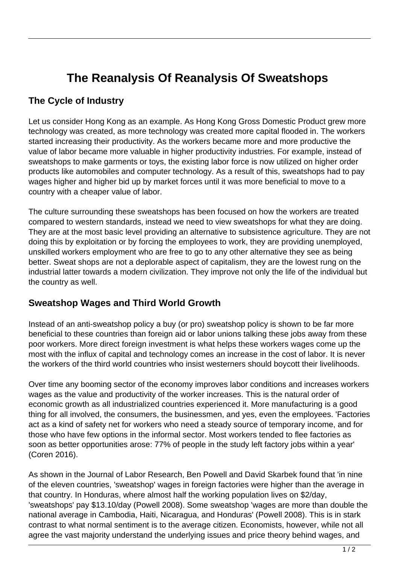## **The Reanalysis Of Reanalysis Of Sweatshops**

## **The Cycle of Industry**

Let us consider Hong Kong as an example. As Hong Kong Gross Domestic Product grew more technology was created, as more technology was created more capital flooded in. The workers started increasing their productivity. As the workers became more and more productive the value of labor became more valuable in higher productivity industries. For example, instead of sweatshops to make garments or toys, the existing labor force is now utilized on higher order products like automobiles and computer technology. As a result of this, sweatshops had to pay wages higher and higher bid up by market forces until it was more beneficial to move to a country with a cheaper value of labor.

The culture surrounding these sweatshops has been focused on how the workers are treated compared to western standards, instead we need to view sweatshops for what they are doing. They are at the most basic level providing an alternative to subsistence agriculture. They are not doing this by exploitation or by forcing the employees to work, they are providing unemployed, unskilled workers employment who are free to go to any other alternative they see as being better. Sweat shops are not a deplorable aspect of capitalism, they are the lowest rung on the industrial latter towards a modern civilization. They improve not only the life of the individual but the country as well.

## **Sweatshop Wages and Third World Growth**

Instead of an anti-sweatshop policy a buy (or pro) sweatshop policy is shown to be far more beneficial to these countries than foreign aid or labor unions talking these jobs away from these poor workers. More direct foreign investment is what helps these workers wages come up the most with the influx of capital and technology comes an increase in the cost of labor. It is never the workers of the third world countries who insist westerners should boycott their livelihoods.

Over time any booming sector of the economy improves labor conditions and increases workers wages as the value and productivity of the worker increases. This is the natural order of economic growth as all industrialized countries experienced it. More manufacturing is a good thing for all involved, the consumers, the businessmen, and yes, even the employees. 'Factories act as a kind of safety net for workers who need a steady source of temporary income, and for those who have few options in the informal sector. Most workers tended to flee factories as soon as better opportunities arose: 77% of people in the study left factory jobs within a year' (Coren 2016).

As shown in the Journal of Labor Research, Ben Powell and David Skarbek found that 'in nine of the eleven countries, 'sweatshop' wages in foreign factories were higher than the average in that country. In Honduras, where almost half the working population lives on \$2/day, 'sweatshops' pay \$13.10/day (Powell 2008). Some sweatshop 'wages are more than double the national average in Cambodia, Haiti, Nicaragua, and Honduras' (Powell 2008). This is in stark contrast to what normal sentiment is to the average citizen. Economists, however, while not all agree the vast majority understand the underlying issues and price theory behind wages, and